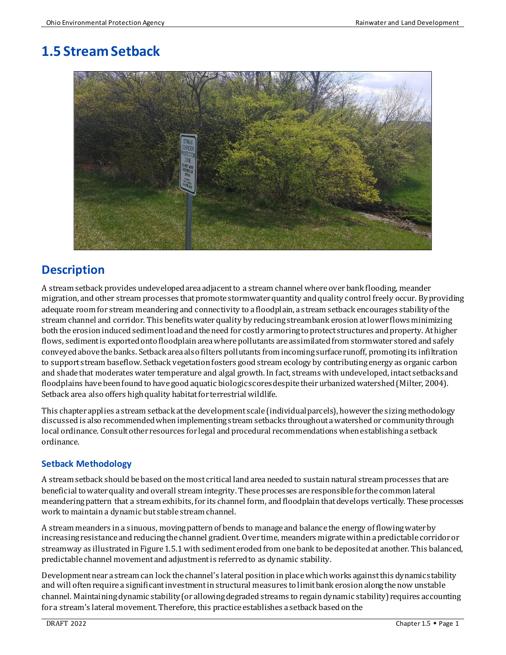# **1.5 Stream Setback**



### **Description**

A stream setback provides undeveloped area adjacent to a stream channel where over bank flooding, meander migration, and other stream processes that promote stormwater quantity and quality control freely occur. By providing adequate room for stream meandering and connectivity to a floodplain, a stream setback encourages stability of the stream channel and corridor. This benefits water quality by reducingstreambank erosion at lower flowsminimizing both the erosion induced sediment load and the need for costly armoring to protect structures and property. At higher flows, sediment is exported onto floodplain area where pollutants are assimilated from stormwater stored and safely conveyedabove the banks. Setback area also filters pollutants from incomingsurface runoff, promotingits infiltration to support stream baseflow. Setback vegetation fosters good stream ecology by contributing energy as organic carbon and shade that moderates water temperature and algal growth. In fact, streams with undeveloped, intact setbacks and floodplains have been found to have good aquatic biologic scores despite their urbanized watershed (Milter, 2004). Setback area also offers high quality habitat for terrestrial wildlife.

This chapter applies a stream setback atthe development scale (individual parcels), however the sizing methodology discussed is also recommended when implementing stream setbacks throughout a watershed or communitythrough local ordinance. Consult other resources for legal and procedural recommendations when establishing a setback ordinance.

#### **Setback Methodology**

A stream setback should be based on the most critical land area needed to sustain natural stream processes that are beneficial to water quality and overall stream integrity. These processes are responsible for the common lateral meandering pattern that a stream exhibits, for its channel form, and floodplain that develops vertically. These processes work to maintaina dynamic but stable stream channel.

A stream meanders in a sinuous, moving pattern of bends to manage and balance the energy of flowing water by increasing resistance and reducing the channel gradient. Over time, meanders migrate within a predictable corridoror streamway as illustrated in Figure 1.5.1 with sediment eroded from one bank to be deposited at another. This balanced, predictable channel movement and adjustment is referred to as dynamic stability.

Development near a stream can lock the channel's lateral position in place which works against this dynamic stability and will often require a significant investment in structural measures to limit bank erosionalong the now unstable channel. Maintaining dynamic stability(or allowing degraded streams to regain dynamic stability)requires accounting for a stream's lateral movement. Therefore, this practice establishes a setback based on the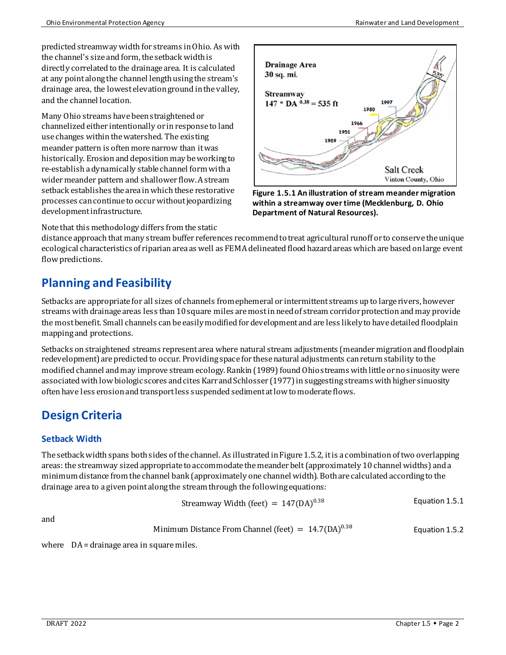predicted streamway width for streams in Ohio. As with the channel's size and form, the setback width is directly correlated to the drainage area. It is calculated at any point along the channel length using the stream's drainage area, the lowest elevation ground in the valley, and the channel location.

Many Ohio streams have been straightenedor channelizedeither intentionally or in response to land use changes within the watershed. The existing meander pattern is often more narrow than it was historically. Erosion and deposition may be working to re-establish a dynamically stable channel form with a wider meander pattern and shallower flow. A stream setback establishes the area in which these restorative processes can continue to occurwithout jeopardizing development infrastructure.



**Figure 1.5.1 An illustration of stream meander migration within a streamway over time (Mecklenburg, D. Ohio Department of Natural Resources).**

Note that this methodology differs from the static

distance approach that many stream buffer references recommendto treat agricultural runoff or to conserve the unique ecological characteristics of riparian area as well as FEMA delineated flood hazard areas which are based on large event flow predictions.

### **Planning and Feasibility**

Setbacks are appropriate for all sizes of channels from ephemeral or intermittent streams up to large rivers, however streams with drainage areas less than 10 square miles are most in need of stream corridor protection and may provide the most benefit. Small channels can be easily modified fordevelopment and are less likely to have detailedfloodplain mapping and protections.

Setbacks on straightened streams represent area where natural stream adjustments (meander migration andfloodplain redevelopment) are predicted to occur. Providing space for these natural adjustments can returnstability to the modified channel and may improve stream ecology. Rankin (1989) found Ohio streams with little or no sinuosity were associated with low biologic scores and cites Karr and Schlosser (1977) in suggestingstreams with higher sinuosity often have less erosion and transportless suspended sediment at low to moderate flows.

## **Design Criteria**

#### **Setback Width**

The setback width spans both sides of the channel. As illustrated in Figure 1.5.2, it is a combination oftwo overlapping areas: the streamway sizedappropriate to accommodate the meander belt (approximately 10 channel widths) and a minimum distance from the channel bank (approximately one channel width). Both are calculated according to the drainage area to a given point along the stream through the following equations:

$$
Streamway Width (feet) = 147 (DA)^{0.38}
$$
 *Equation 1.5.1*

and

Minimum Distance From Channel (feet) = 
$$
14.7(DA)^{0.38}
$$
 Equation 1.5.2

where DA = drainage area in square miles.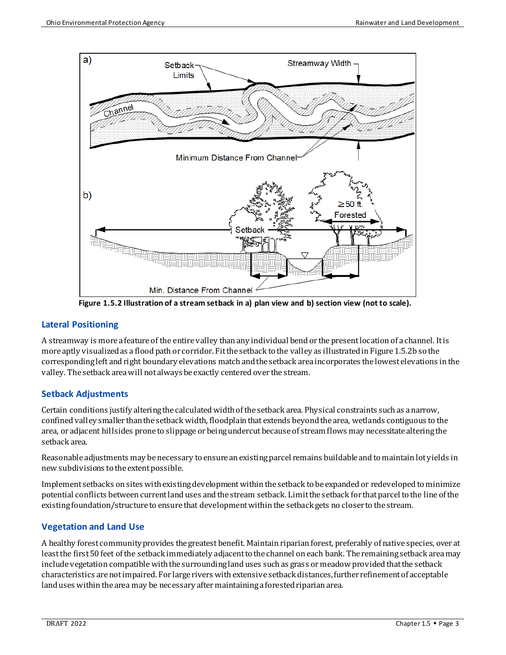

**Figure 1.5.2 Illustration of a stream setback in a) plan view and b) section view (not to scale).**

#### **Lateral Positioning**

A streamway is more a feature of the entire valley than any individual bend or the present location of a channel. It is more aptly visualized as a flood path or corridor. Fit the setback to the valley as illustrated in Figure 1.5.2b so the corresponding left and right boundary elevations match and the setback area incorporates the lowest elevations in the valley. The setback area will not always be exactly centered over the stream.

#### **Setback Adjustments**

Certain conditions justify altering the calculated width of the setback area. Physical constraints such as a narrow, confined valley smaller than the setback width, floodplain that extends beyond the area, wetlands contiguous to the area, or adjacent hillsides prone to slippage or being undercut because of stream flows may necessitate altering the setback area.

Reasonable adjustments may be necessary to ensure an existing parcel remains buildable and to maintain lot yields in new subdivisions to the extent possible.

Implement setbacks on sites with existing development within the setback to be expanded or redeveloped to minimize potential conflicts between current land uses and the stream setback. Limit the setback for that parcel to the line of the existing foundation/structure to ensure that development within the setback gets no closer to the stream.

#### **Vegetation and Land Use**

A healthy forest community provides the greatest benefit. Maintain riparianforest, preferably of native species, over at leastthe first 50 feet of the setback immediately adjacent to the channel on each bank. The remaining setback area may include vegetation compatible with the surrounding land uses such as grass or meadow provided that the setback characteristics are not impaired. For large rivers with extensive setback distances, further refinement of acceptable land uses within the area may be necessary after maintaining a forested riparian area.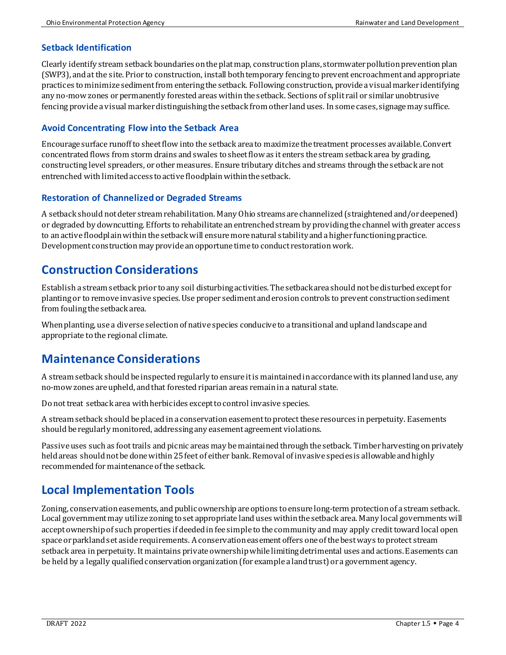#### **Setback Identification**

Clearly identify stream setback boundaries on the plat map, construction plans, stormwater pollution prevention plan (SWP3), and at the site. Prior to construction, install both temporary fencing to prevent encroachment and appropriate practices to minimize sediment from entering the setback. Following construction, provide a visual marker identifying any no-mow zones or permanently forested areas within the setback. Sections of split rail or similar unobtrusive fencing provide a visual marker distinguishing the setback from other land uses. In some cases,signage may suffice.

#### **Avoid Concentrating Flow into the Setback Area**

Encourage surface runoff to sheet flow into the setback area to maximize the treatment processes available. Convert concentrated flows from storm drains and swales to sheet flow as it enters the stream setback area by grading, constructing level spreaders, or other measures. Ensure tributary ditches and streams through the setback are not entrenched with limited access to active floodplain within the setback.

#### **Restoration of Channelized or Degraded Streams**

A setback should not deter stream rehabilitation. Many Ohio streams are channelized (straightened and/or deepened) or degraded by downcutting. Efforts to rehabilitate an entrenched stream by providingthe channel with greater access to an active floodplainwithin the setback will ensure more natural stability and a higher functioning practice. Development constructionmay provide an opportune time to conduct restoration work.

### **Construction Considerations**

Establish a stream setback prior to any soil disturbing activities. The setback area should not be disturbed except for planting or to remove invasive species. Use proper sediment and erosion controls to prevent construction sediment from fouling the setback area.

When planting, use a diverse selection of native species conducive to a transitional and upland landscape and appropriate to the regional climate.

### **Maintenance Considerations**

A stream setback should be inspected regularly to ensure it is maintained inaccordance with its planned land use, any no-mow zones are upheld, and that forested riparian areas remainina natural state.

Do nottreat setback area with herbicides except to control invasive species.

A stream setback should be placed in a conservation easement to protect these resources in perpetuity. Easements should be regularly monitored, addressing any easement agreement violations.

Passive uses such as foot trails and picnic areas may be maintained through the setback. Timber harvesting on privately held areas should not be done within 25 feet of either bank. Removal of invasive species is allowable and highly recommended for maintenance of the setback.

### **Local Implementation Tools**

Zoning, conservation easements, and public ownership are options to ensure long-term protection of a stream setback. Local government may utilize zoning to set appropriate land uses within the setback area. Many local governments will accept ownership of such properties if deeded in fee simple to the community and may apply credit toward local open space or parkland set aside requirements. A conservation easement offers one of the best ways to protect stream setback area in perpetuity. It maintains private ownership while limitingdetrimental uses and actions. Easements can be held by a legally qualified conservation organization (for example a land trust) or a government agency.